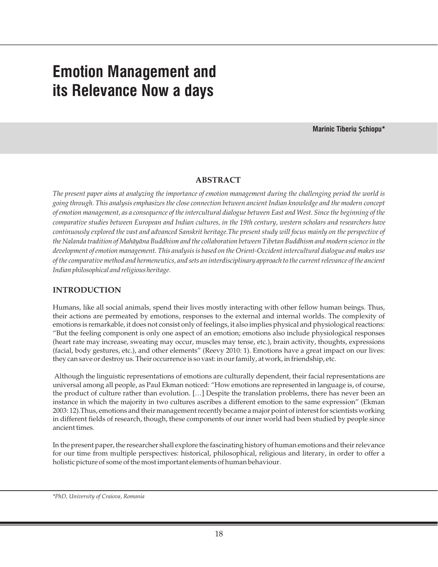# **Emotion Management and its Relevance Now a days**

**Marinic Tiberiu Șchiopu\***

#### **ABSTRACT**

*The present paper aims at analyzing the importance of emotion management during the challenging period the world is going through. This analysis emphasizes the close connection between ancient Indian knowledge and the modern concept of emotion management, as a consequence of the intercultural dialogue between East and West. Since the beginning of the comparative studies between European and Indian cultures, in the 19th century, western scholars and researchers have continuously explored the vast and advanced Sanskrit heritage.The present study will focus mainly on the perspective of the Nalanda tradition of Mahāyāna Buddhism and the collaboration between Tibetan Buddhism and modern science in the development of emotion management. This analysis is based on the Orient-Occident intercultural dialogue and makes use of the comparative method and hermeneutics, and sets an interdisciplinary approach to the current relevance of the ancient Indian philosophical and religious heritage.*

#### **INTRODUCTION**

Humans, like all social animals, spend their lives mostly interacting with other fellow human beings. Thus, their actions are permeated by emotions, responses to the external and internal worlds. The complexity of emotions is remarkable, it does not consist only of feelings, it also implies physical and physiological reactions: "But the feeling component is only one aspect of an emotion; emotions also include physiological responses (heart rate may increase, sweating may occur, muscles may tense, etc.), brain activity, thoughts, expressions (facial, body gestures, etc.), and other elements" (Reevy 2010: 1). Emotions have a great impact on our lives: they can save or destroy us. Their occurrence is so vast: in our family, at work, in friendship, etc.

Although the linguistic representations of emotions are culturally dependent, their facial representations are universal among all people, as Paul Ekman noticed: "How emotions are represented in language is, of course, the product of culture rather than evolution. […] Despite the translation problems, there has never been an instance in which the majority in two cultures ascribes a different emotion to the same expression" (Ekman 2003: 12).Thus, emotions and their management recently became a major point of interest for scientists working in different fields of research, though, these components of our inner world had been studied by people since ancient times.

In the present paper, the researcher shall explore the fascinating history of human emotions and their relevance for our time from multiple perspectives: historical, philosophical, religious and literary, in order to offer a holistic picture of some of the most important elements of human behaviour.

*<sup>\*</sup>PhD, University of Craiova, Romania*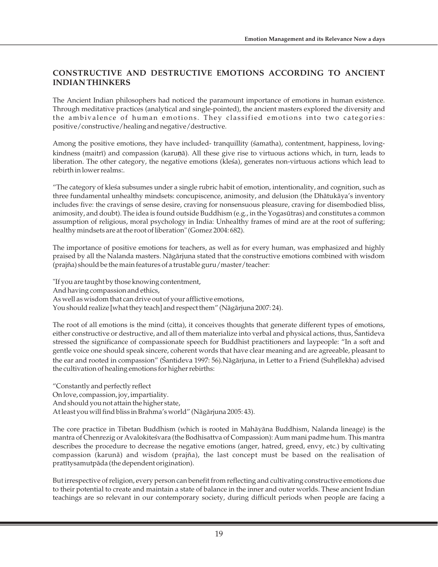## **CONSTRUCTIVE AND DESTRUCTIVE EMOTIONS ACCORDING TO ANCIENT INDIAN THINKERS**

The Ancient Indian philosophers had noticed the paramount importance of emotions in human existence. Through meditative practices (analytical and single-pointed), the ancient masters explored the diversity and the ambivalence of human emotions. They classified emotions into two categories: positive/constructive/healing and negative/destructive.

Among the positive emotions, they have included- tranquillity (śamatha), contentment, happiness, lovingkindness (maitrī) and compassion (karu**ṇ**ā). All these give rise to virtuous actions which, in turn, leads to liberation. The other category, the negative emotions (kleśa), generates non-virtuous actions which lead to rebirth in lower realms:.

"The category of kleśa subsumes under a single rubric habit of emotion, intentionality, and cognition, such as three fundamental unhealthy mindsets: concupiscence, animosity, and delusion (the Dhātukāya's inventory includes five: the cravings of sense desire, craving for nonsensuous pleasure, craving for disembodied bliss, animosity, and doubt). The idea is found outside Buddhism (e.g., in the Yogasūtras) and constitutes a common assumption of religious, moral psychology in India: Unhealthy frames of mind are at the root of suffering; healthy mindsets are at the root of liberation" (Gomez 2004: 682).

The importance of positive emotions for teachers, as well as for every human, was emphasized and highly praised by all the Nalanda masters. Nāgārjuna stated that the constructive emotions combined with wisdom (prajña) should be the main features of a trustable guru/master/teacher:

"If you are taught by those knowing contentment, And having compassion and ethics, As well as wisdom that can drive out of your afflictive emotions, You should realize [what they teach] and respect them" (Nāgārjuna 2007: 24).

The root of all emotions is the mind (citta), it conceives thoughts that generate different types of emotions, either constructive or destructive, and all of them materialize into verbal and physical actions, thus, Śantideva stressed the significance of compassionate speech for Buddhist practitioners and laypeople: "In a soft and gentle voice one should speak sincere, coherent words that have clear meaning and are agreeable, pleasant to the ear and rooted in compassion" (Śantideva 1997: 56).Nāgārjuna, in Letter to a Friend (Suh**ṛ**llekha) advised the cultivation of healing emotions for higher rebirths:

"Constantly and perfectly reflect On love, compassion, joy, impartiality. And should you not attain the higher state, At least you will find bliss in Brahma's world" (Nāgārjuna 2005: 43).

The core practice in Tibetan Buddhism (which is rooted in Mahāyāna Buddhism, Nalanda lineage) is the mantra of Chenrezig or Avalokiteśvara (the Bodhisattva of Compassion): Aum mani padme hum. This mantra describes the procedure to decrease the negative emotions (anger, hatred, greed, envy, etc.) by cultivating compassion (karunā) and wisdom (prajña), the last concept must be based on the realisation of pratītysamutpāda (the dependent origination).

But irrespective of religion, every person can benefit from reflecting and cultivating constructive emotions due to their potential to create and maintain a state of balance in the inner and outer worlds. These ancient Indian teachings are so relevant in our contemporary society, during difficult periods when people are facing a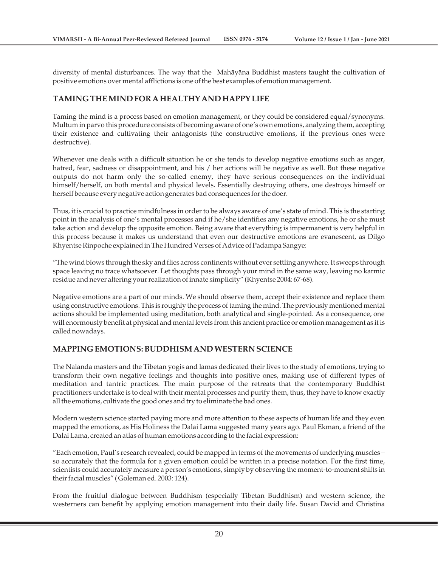diversity of mental disturbances. The way that the Mahāyāna Buddhist masters taught the cultivation of positive emotions over mental afflictions is one of the best examples of emotion management.

#### **TAMING THE MIND FOR A HEALTHY AND HAPPY LIFE**

Taming the mind is a process based on emotion management, or they could be considered equal/synonyms. Multum in parvo this procedure consists of becoming aware of one's own emotions, analyzing them, accepting their existence and cultivating their antagonists (the constructive emotions, if the previous ones were destructive).

Whenever one deals with a difficult situation he or she tends to develop negative emotions such as anger, hatred, fear, sadness or disappointment, and his / her actions will be negative as well. But these negative outputs do not harm only the so-called enemy, they have serious consequences on the individual himself/herself, on both mental and physical levels. Essentially destroying others, one destroys himself or herself because every negative action generates bad consequences for the doer.

Thus, it is crucial to practice mindfulness in order to be always aware of one's state of mind. This is the starting point in the analysis of one's mental processes and if he/she identifies any negative emotions, he or she must take action and develop the opposite emotion. Being aware that everything is impermanent is very helpful in this process because it makes us understand that even our destructive emotions are evanescent, as Dilgo Khyentse Rinpoche explained in The Hundred Verses of Advice of Padampa Sangye:

"The wind blows through the sky and flies across continents without ever settling anywhere. It sweeps through space leaving no trace whatsoever. Let thoughts pass through your mind in the same way, leaving no karmic residue and never altering your realization of innate simplicity" (Khyentse 2004: 67-68).

Negative emotions are a part of our minds. We should observe them, accept their existence and replace them using constructive emotions. This is roughly the process of taming the mind. The previously mentioned mental actions should be implemented using meditation, both analytical and single-pointed. As a consequence, one will enormously benefit at physical and mental levels from this ancient practice or emotion management as it is called nowadays.

#### **MAPPING EMOTIONS: BUDDHISM AND WESTERN SCIENCE**

The Nalanda masters and the Tibetan yogis and lamas dedicated their lives to the study of emotions, trying to transform their own negative feelings and thoughts into positive ones, making use of different types of meditation and tantric practices. The main purpose of the retreats that the contemporary Buddhist practitioners undertake is to deal with their mental processes and purify them, thus, they have to know exactly all the emotions, cultivate the good ones and try to eliminate the bad ones.

Modern western science started paying more and more attention to these aspects of human life and they even mapped the emotions, as His Holiness the Dalai Lama suggested many years ago. Paul Ekman, a friend of the Dalai Lama, created an atlas of human emotions according to the facial expression:

"Each emotion, Paul's research revealed, could be mapped in terms of the movements of underlying muscles – so accurately that the formula for a given emotion could be written in a precise notation. For the first time, scientists could accurately measure a person's emotions, simply by observing the moment-to-moment shifts in their facial muscles" ( Goleman ed. 2003: 124).

From the fruitful dialogue between Buddhism (especially Tibetan Buddhism) and western science, the westerners can benefit by applying emotion management into their daily life. Susan David and Christina